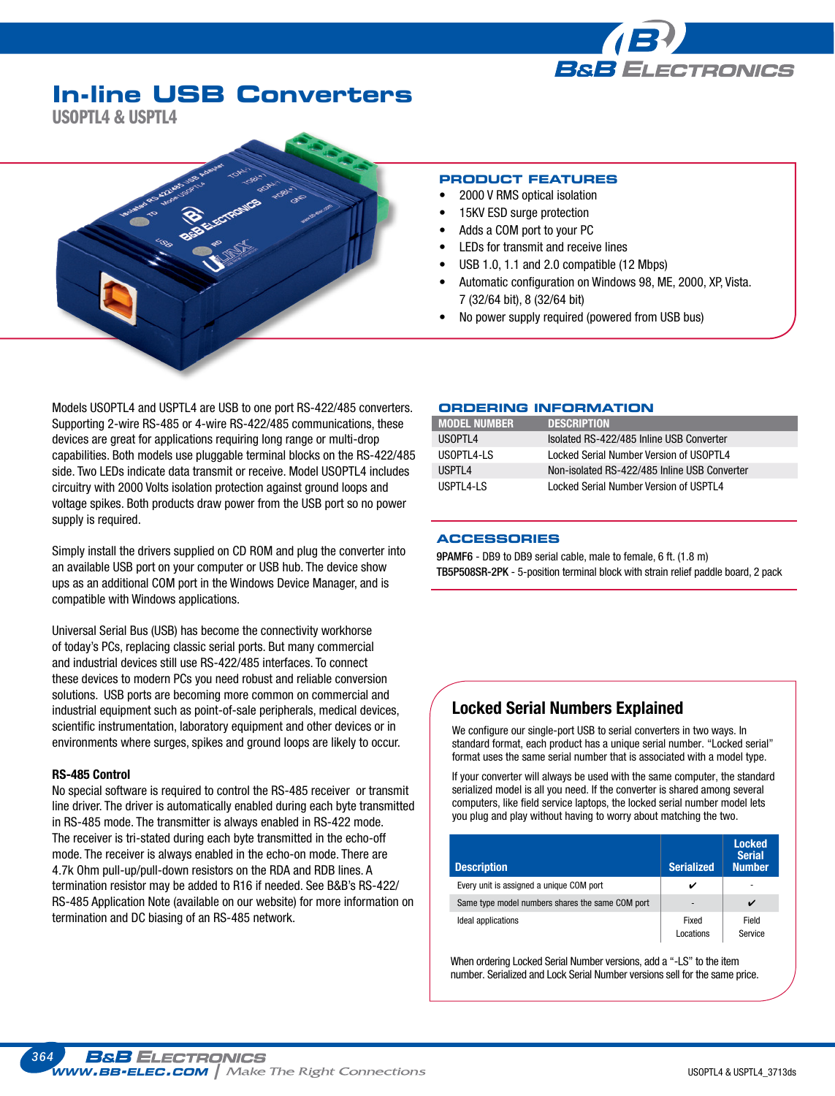

# **In-line USB Converters**

USOPTL4 & USPTL4



#### **PRODUCT FEATURES**

- 2000 V RMS optical isolation
- 15KV ESD surge protection
- Adds a COM port to your PC
- LEDs for transmit and receive lines
- USB 1.0, 1.1 and 2.0 compatible (12 Mbps)
- Automatic configuration on Windows 98, ME, 2000, XP, Vista. 7 (32/64 bit), 8 (32/64 bit)
- No power supply required (powered from USB bus)

Models USOPTL4 and USPTL4 are USB to one port RS-422/485 converters. Supporting 2-wire RS-485 or 4-wire RS-422/485 communications, these devices are great for applications requiring long range or multi-drop capabilities. Both models use pluggable terminal blocks on the RS-422/485 side. Two LEDs indicate data transmit or receive. Model USOPTL4 includes circuitry with 2000 Volts isolation protection against ground loops and voltage spikes. Both products draw power from the USB port so no power supply is required.

Simply install the drivers supplied on CD ROM and plug the converter into an available USB port on your computer or USB hub. The device show ups as an additional COM port in the Windows Device Manager, and is compatible with Windows applications.

Universal Serial Bus (USB) has become the connectivity workhorse of today's PCs, replacing classic serial ports. But many commercial and industrial devices still use RS-422/485 interfaces. To connect these devices to modern PCs you need robust and reliable conversion solutions. USB ports are becoming more common on commercial and industrial equipment such as point-of-sale peripherals, medical devices, scientific instrumentation, laboratory equipment and other devices or in environments where surges, spikes and ground loops are likely to occur.

#### RS-485 Control

No special software is required to control the RS-485 receiver or transmit line driver. The driver is automatically enabled during each byte transmitted in RS-485 mode. The transmitter is always enabled in RS-422 mode. The receiver is tri-stated during each byte transmitted in the echo-off mode. The receiver is always enabled in the echo-on mode. There are 4.7k Ohm pull-up/pull-down resistors on the RDA and RDB lines. A termination resistor may be added to R16 if needed. See B&B's RS-422/ RS-485 Application Note (available on our website) for more information on termination and DC biasing of an RS-485 network.

#### **Ordering Information**

| <b>MODEL NUMBER</b> | <b>DESCRIPTION</b>                           |
|---------------------|----------------------------------------------|
| USOPTL4             | Isolated RS-422/485 Inline USB Converter     |
| USOPTL4-LS          | Locked Serial Number Version of USOPTL4      |
| USPTL4              | Non-isolated RS-422/485 Inline USB Converter |
| USPTL4-LS           | Locked Serial Number Version of USPTL4       |

#### **Accessories**

9PAMF6 - DB9 to DB9 serial cable, male to female, 6 ft. (1.8 m) TB5P508SR-2PK - 5-position terminal block with strain relief paddle board, 2 pack

### Locked Serial Numbers Explained

We configure our single-port USB to serial converters in two ways. In standard format, each product has a unique serial number. "Locked serial" format uses the same serial number that is associated with a model type.

If your converter will always be used with the same computer, the standard serialized model is all you need. If the converter is shared among several computers, like field service laptops, the locked serial number model lets you plug and play without having to worry about matching the two.

| <b>Description</b>                               | Serialized         | <b>Locked</b><br><b>Serial</b><br><b>Number</b> |  |
|--------------------------------------------------|--------------------|-------------------------------------------------|--|
| Every unit is assigned a unique COM port         | v                  |                                                 |  |
| Same type model numbers shares the same COM port |                    |                                                 |  |
| Ideal applications                               | Fixed<br>Locations | Field<br>Service                                |  |

When ordering Locked Serial Number versions, add a "-LS" to the item number. Serialized and Lock Serial Number versions sell for the same price.